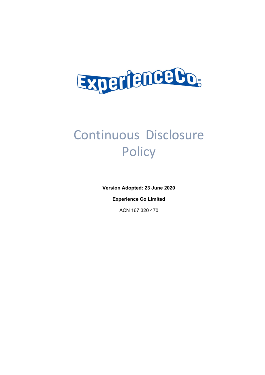

# Continuous Disclosure **Policy**

**Version Adopted: 23 June 2020**

**Experience Co Limited**

ACN 167 320 470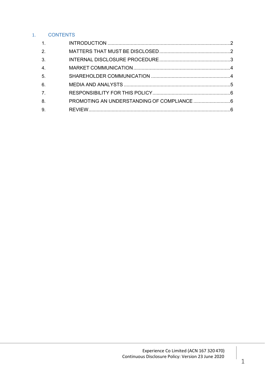# 1. CONTENTS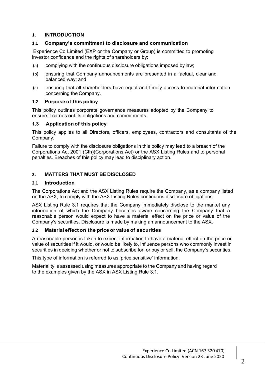## **1. INTRODUCTION**

## **1.1 Company's commitment to disclosure and communication**

Experience Co Limited (EXP or the Company or Group) is committed to promoting investor confidence and the rights of shareholders by:

- (a) complying with the continuous disclosure obligations imposed by law;
- (b) ensuring that Company announcements are presented in a factual, clear and balanced way; and
- (c) ensuring that all shareholders have equal and timely access to material information concerning the Company.

## **1.2 Purpose of this policy**

This policy outlines corporate governance measures adopted by the Company to ensure it carries out its obligations and commitments.

## **1.3 Application of this policy**

This policy applies to all Directors, officers, employees, contractors and consultants of the Company.

Failure to comply with the disclosure obligations in this policy may lead to a breach of the Corporations Act 2001 (Cth)(Corporations Act) or the ASX Listing Rules and to personal penalties. Breaches of this policy may lead to disciplinary action.

## **2. MATTERS THAT MUST BE DISCLOSED**

#### **2.1 Introduction**

The Corporations Act and the ASX Listing Rules require the Company, as a company listed on the ASX, to comply with the ASX Listing Rules continuous disclosure obligations.

ASX Listing Rule 3.1 requires that the Company immediately disclose to the market any information of which the Company becomes aware concerning the Company that a reasonable person would expect to have a material effect on the price or value of the Company's securities. Disclosure is made by making an announcement to the ASX.

#### **2.2 Material effect on the price or value of securities**

A reasonable person is taken to expect information to have a material effect on the price or value of securities if it would, or would be likely to, influence persons who commonly invest in securities in deciding whether or not to subscribe for, or buy or sell, the Company's securities.

This type of information is referred to as 'price sensitive' information.

Materiality is assessed using measures appropriate to the Company and having regard to the examples given by the ASX in ASX Listing Rule 3.1.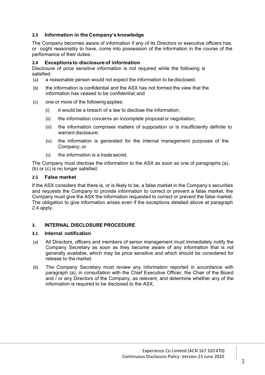## **2.3 Information in the Company's knowledge**

The Company becomes aware of information if any of its Directors or executive officers has, or ought reasonably to have, come into possession of the information in the course of the performance of their duties.

## **2.4 Exceptionsto disclosureof information**

Disclosure of price sensitive information is not required while the following is satisfied:

- (a) a reasonable person would not expect the information to be disclosed;
- (b) the information is confidential and the ASX has not formed the view that the information has ceased to be confidential;and
- (c) one or more of the followingapplies:
	- $(i)$  it would be a breach of a law to disclose the information;
	- (ii) the information concerns an incomplete proposal or negotiation;
	- (iii) the information comprises matters of supposition or is insufficiently definite to warrant disclosure;
	- (iv) the information is generated for the internal management purposes of the Company; or
	- (v) the information is a trade secret.

The Company must disclose the information to the ASX as soon as one of paragraphs (a), (b) or (c) is no longer satisfied.

#### **2.5 False market**

If the ASX considers that there is, or is likely to be, a false market in the Company's securities and requests the Company to provide information to correct or prevent a false market, the Company must give the ASX the information requested to correct or prevent the false market. The obligation to give information arises even if the exceptions detailed above at paragraph 2.4 apply.

## **3. INTERNAL DISCLOSURE PROCEDURE**

#### **3.1 Internal notification**

- (a) All Directors, officers and members of senior management must immediately notify the Company Secretary as soon as they become aware of any information that is not generally available, which may be price sensitive and which should be considered for release to the market.
- (b) The Company Secretary must review any information reported in accordance with paragraph (a), in consultation with the Chief Executive Officer, the Chair of the Board and / or any Directors of the Company, as relevant, and determine whether any of the information is required to be disclosed to the ASX.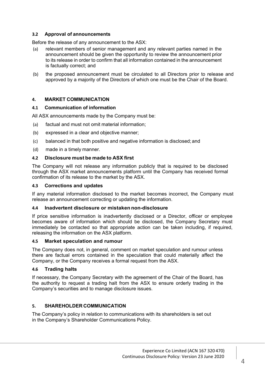## **3.2 Approval of announcements**

Before the release of any announcement to the ASX:

- (a) relevant members of senior management and any relevant parties named in the announcement should be given the opportunity to review the announcement prior to its release in order to confirm that all information contained in the announcement is factually correct; and
- (b) the proposed announcement must be circulated to all Directors prior to release and approved by a majority of the Directors of which one must be the Chair of the Board.

## **4. MARKET COMMUNICATION**

#### **4.1 Communication of information**

All ASX announcements made by the Company must be:

- (a) factual and must not omit material information;
- (b) expressed in a clear and objective manner;
- (c) balanced in that both positive and negative information is disclosed; and
- (d) made in a timely manner.

#### **4.2 Disclosure must be made to ASX first**

The Company will not release any information publicly that is required to be disclosed through the ASX market announcements platform until the Company has received formal confirmation of its release to the market by the ASX.

#### **4.3 Corrections and updates**

If any material information disclosed to the market becomes incorrect, the Company must release an announcement correcting or updating the information.

#### **4.4 Inadvertent disclosure or mistaken non-disclosure**

If price sensitive information is inadvertently disclosed or a Director, officer or employee becomes aware of information which should be disclosed, the Company Secretary must immediately be contacted so that appropriate action can be taken including, if required, releasing the information on the ASX platform.

#### **4.5 Market speculation and rumour**

The Company does not, in general, comment on market speculation and rumour unless there are factual errors contained in the speculation that could materially affect the Company, or the Company receives a formal request from the ASX.

#### **4.6 Trading halts**

If necessary, the Company Secretary with the agreement of the Chair of the Board, has the authority to request a trading halt from the ASX to ensure orderly trading in the Company's securities and to manage disclosure issues.

## **5. SHAREHOLDER COMMUNICATION**

The Company's policy in relation to communications with its shareholders is set out in the Company's Shareholder Communications Policy.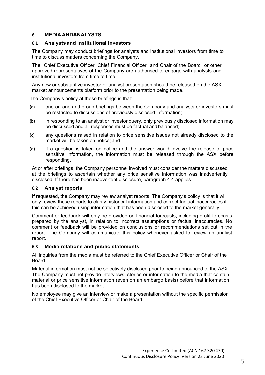### **6. MEDIA ANDANALYSTS**

### **6.1 Analysts and institutional investors**

The Company may conduct briefings for analysts and institutional investors from time to time to discuss matters concerning the Company.

The Chief Executive Officer, Chief Financial Officer and Chair of the Board or other approved representatives of the Company are authorised to engage with analysts and institutional investors from time to time.

Any new or substantive investor or analyst presentation should be released on the ASX market announcements platform prior to the presentation being made.

The Company's policy at these briefings is that:

- (a) one-on-one and group briefings between the Company and analysts or investors must be restricted to discussions of previously disclosed information;
- (b) in responding to an analyst or investor query, only previously disclosed information may be discussed and all responses must be factual and balanced;
- (c) any questions raised in relation to price sensitive issues not already disclosed to the market will be taken on notice; and
- (d) if a question is taken on notice and the answer would involve the release of price sensitive information, the information must be released through the ASX before responding.

At or after briefings, the Company personnel involved must consider the matters discussed at the briefings to ascertain whether any price sensitive information was inadvertently disclosed. If there has been inadvertent disclosure, paragraph 4.4 applies.

#### **6.2 Analyst reports**

If requested, the Company may review analyst reports. The Company's policy is that it will only review these reports to clarify historical information and correct factual inaccuracies if this can be achieved using information that has been disclosed to the market generally.

Comment or feedback will only be provided on financial forecasts, including profit forecasts prepared by the analyst, in relation to incorrect assumptions or factual inaccuracies. No comment or feedback will be provided on conclusions or recommendations set out in the report. The Company will communicate this policy whenever asked to review an analyst report.

#### **6.3 Media relations and public statements**

All inquiries from the media must be referred to the Chief Executive Officer or Chair of the Board.

Material information must not be selectively disclosed prior to being announced to the ASX. The Company must not provide interviews, stories or information to the media that contain material or price sensitive information (even on an embargo basis) before that information has been disclosed to the market.

No employee may give an interview or make a presentation without the specific permission of the Chief Executive Officer or Chair of the Board.